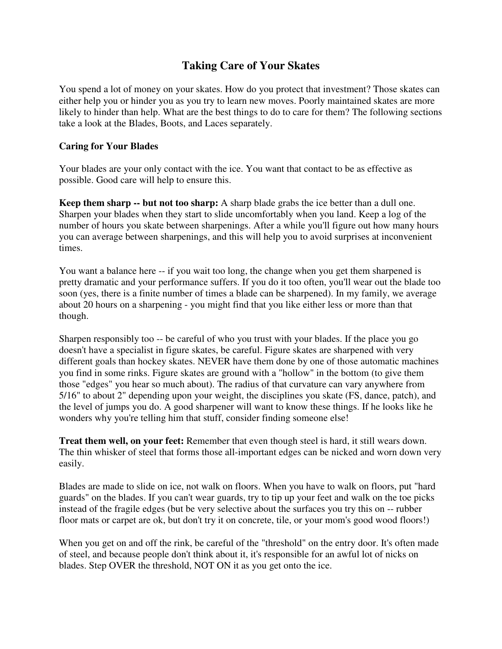## **Taking Care of Your Skates**

You spend a lot of money on your skates. How do you protect that investment? Those skates can either help you or hinder you as you try to learn new moves. Poorly maintained skates are more likely to hinder than help. What are the best things to do to care for them? The following sections take a look at the Blades, Boots, and Laces separately.

## **Caring for Your Blades**

Your blades are your only contact with the ice. You want that contact to be as effective as possible. Good care will help to ensure this.

**Keep them sharp -- but not too sharp:** A sharp blade grabs the ice better than a dull one. Sharpen your blades when they start to slide uncomfortably when you land. Keep a log of the number of hours you skate between sharpenings. After a while you'll figure out how many hours you can average between sharpenings, and this will help you to avoid surprises at inconvenient times.

You want a balance here -- if you wait too long, the change when you get them sharpened is pretty dramatic and your performance suffers. If you do it too often, you'll wear out the blade too soon (yes, there is a finite number of times a blade can be sharpened). In my family, we average about 20 hours on a sharpening - you might find that you like either less or more than that though.

Sharpen responsibly too -- be careful of who you trust with your blades. If the place you go doesn't have a specialist in figure skates, be careful. Figure skates are sharpened with very different goals than hockey skates. NEVER have them done by one of those automatic machines you find in some rinks. Figure skates are ground with a "hollow" in the bottom (to give them those "edges" you hear so much about). The radius of that curvature can vary anywhere from 5/16" to about 2" depending upon your weight, the disciplines you skate (FS, dance, patch), and the level of jumps you do. A good sharpener will want to know these things. If he looks like he wonders why you're telling him that stuff, consider finding someone else!

**Treat them well, on your feet:** Remember that even though steel is hard, it still wears down. The thin whisker of steel that forms those all-important edges can be nicked and worn down very easily.

Blades are made to slide on ice, not walk on floors. When you have to walk on floors, put "hard guards" on the blades. If you can't wear guards, try to tip up your feet and walk on the toe picks instead of the fragile edges (but be very selective about the surfaces you try this on -- rubber floor mats or carpet are ok, but don't try it on concrete, tile, or your mom's good wood floors!)

When you get on and off the rink, be careful of the "threshold" on the entry door. It's often made of steel, and because people don't think about it, it's responsible for an awful lot of nicks on blades. Step OVER the threshold, NOT ON it as you get onto the ice.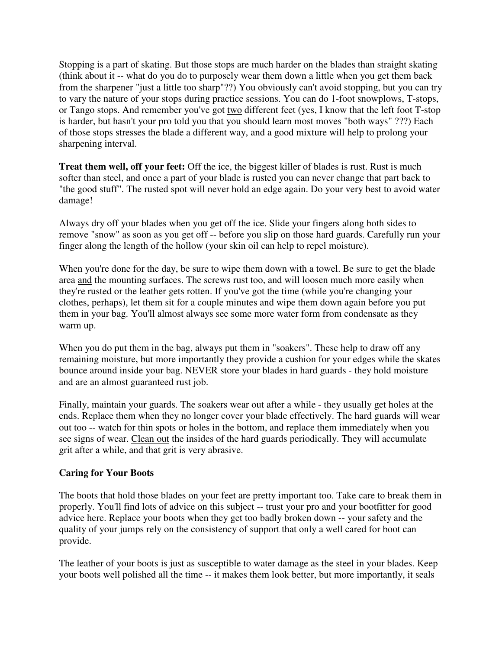Stopping is a part of skating. But those stops are much harder on the blades than straight skating (think about it -- what do you do to purposely wear them down a little when you get them back from the sharpener "just a little too sharp"??) You obviously can't avoid stopping, but you can try to vary the nature of your stops during practice sessions. You can do 1-foot snowplows, T-stops, or Tango stops. And remember you've got two different feet (yes, I know that the left foot T-stop is harder, but hasn't your pro told you that you should learn most moves "both ways" ???) Each of those stops stresses the blade a different way, and a good mixture will help to prolong your sharpening interval.

**Treat them well, off your feet:** Off the ice, the biggest killer of blades is rust. Rust is much softer than steel, and once a part of your blade is rusted you can never change that part back to "the good stuff". The rusted spot will never hold an edge again. Do your very best to avoid water damage!

Always dry off your blades when you get off the ice. Slide your fingers along both sides to remove "snow" as soon as you get off -- before you slip on those hard guards. Carefully run your finger along the length of the hollow (your skin oil can help to repel moisture).

When you're done for the day, be sure to wipe them down with a towel. Be sure to get the blade area and the mounting surfaces. The screws rust too, and will loosen much more easily when they're rusted or the leather gets rotten. If you've got the time (while you're changing your clothes, perhaps), let them sit for a couple minutes and wipe them down again before you put them in your bag. You'll almost always see some more water form from condensate as they warm up.

When you do put them in the bag, always put them in "soakers". These help to draw off any remaining moisture, but more importantly they provide a cushion for your edges while the skates bounce around inside your bag. NEVER store your blades in hard guards - they hold moisture and are an almost guaranteed rust job.

Finally, maintain your guards. The soakers wear out after a while - they usually get holes at the ends. Replace them when they no longer cover your blade effectively. The hard guards will wear out too -- watch for thin spots or holes in the bottom, and replace them immediately when you see signs of wear. Clean out the insides of the hard guards periodically. They will accumulate grit after a while, and that grit is very abrasive.

## **Caring for Your Boots**

The boots that hold those blades on your feet are pretty important too. Take care to break them in properly. You'll find lots of advice on this subject -- trust your pro and your bootfitter for good advice here. Replace your boots when they get too badly broken down -- your safety and the quality of your jumps rely on the consistency of support that only a well cared for boot can provide.

The leather of your boots is just as susceptible to water damage as the steel in your blades. Keep your boots well polished all the time -- it makes them look better, but more importantly, it seals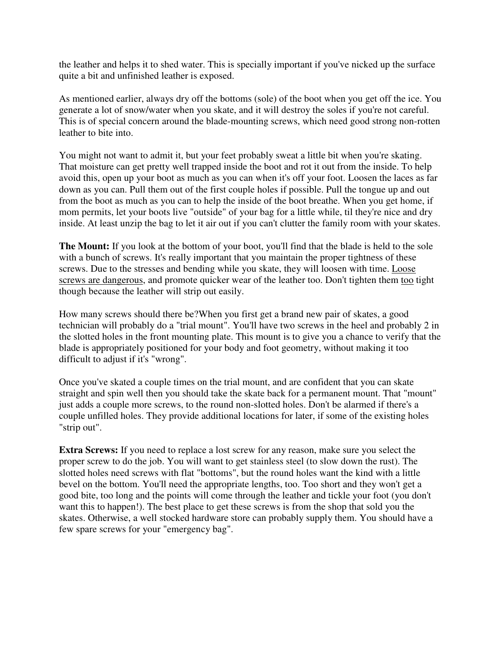the leather and helps it to shed water. This is specially important if you've nicked up the surface quite a bit and unfinished leather is exposed.

As mentioned earlier, always dry off the bottoms (sole) of the boot when you get off the ice. You generate a lot of snow/water when you skate, and it will destroy the soles if you're not careful. This is of special concern around the blade-mounting screws, which need good strong non-rotten leather to bite into.

You might not want to admit it, but your feet probably sweat a little bit when you're skating. That moisture can get pretty well trapped inside the boot and rot it out from the inside. To help avoid this, open up your boot as much as you can when it's off your foot. Loosen the laces as far down as you can. Pull them out of the first couple holes if possible. Pull the tongue up and out from the boot as much as you can to help the inside of the boot breathe. When you get home, if mom permits, let your boots live "outside" of your bag for a little while, til they're nice and dry inside. At least unzip the bag to let it air out if you can't clutter the family room with your skates.

**The Mount:** If you look at the bottom of your boot, you'll find that the blade is held to the sole with a bunch of screws. It's really important that you maintain the proper tightness of these screws. Due to the stresses and bending while you skate, they will loosen with time. Loose screws are dangerous, and promote quicker wear of the leather too. Don't tighten them too tight though because the leather will strip out easily.

How many screws should there be?When you first get a brand new pair of skates, a good technician will probably do a "trial mount". You'll have two screws in the heel and probably 2 in the slotted holes in the front mounting plate. This mount is to give you a chance to verify that the blade is appropriately positioned for your body and foot geometry, without making it too difficult to adjust if it's "wrong".

Once you've skated a couple times on the trial mount, and are confident that you can skate straight and spin well then you should take the skate back for a permanent mount. That "mount" just adds a couple more screws, to the round non-slotted holes. Don't be alarmed if there's a couple unfilled holes. They provide additional locations for later, if some of the existing holes "strip out".

**Extra Screws:** If you need to replace a lost screw for any reason, make sure you select the proper screw to do the job. You will want to get stainless steel (to slow down the rust). The slotted holes need screws with flat "bottoms", but the round holes want the kind with a little bevel on the bottom. You'll need the appropriate lengths, too. Too short and they won't get a good bite, too long and the points will come through the leather and tickle your foot (you don't want this to happen!). The best place to get these screws is from the shop that sold you the skates. Otherwise, a well stocked hardware store can probably supply them. You should have a few spare screws for your "emergency bag".